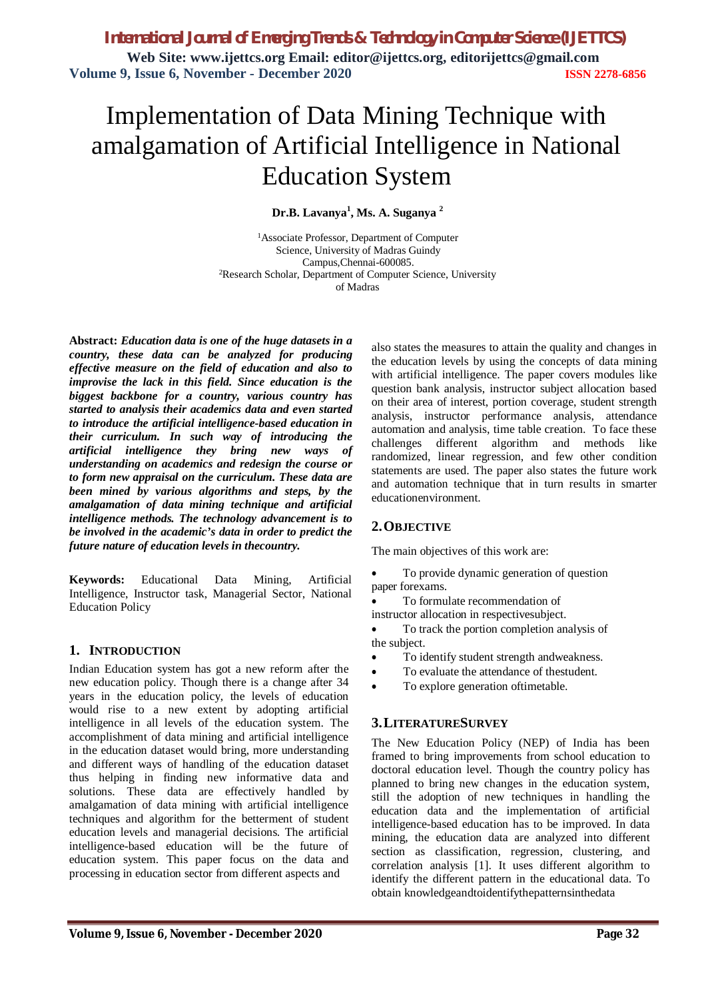# Implementation of Data Mining Technique with amalgamation of Artificial Intelligence in National Education System

# **Dr.B. Lavanya<sup>1</sup> , Ms. A. Suganya <sup>2</sup>**

<sup>1</sup>Associate Professor, Department of Computer Science, University of Madras Guindy Campus,Chennai-600085. <sup>2</sup>Research Scholar, Department of Computer Science, University of Madras

**Abstract:** *Education data is one of the huge datasets in a country, these data can be analyzed for producing effective measure on the field of education and also to improvise the lack in this field. Since education is the biggest backbone for a country, various country has started to analysis their academics data and even started to introduce the artificial intelligence-based education in their curriculum. In such way of introducing the artificial intelligence they bring new ways of understanding on academics and redesign the course or to form new appraisal on the curriculum. These data are been mined by various algorithms and steps, by the amalgamation of data mining technique and artificial intelligence methods. The technology advancement is to be involved in the academic's data in order to predict the future nature of education levels in thecountry.*

**Keywords:** Educational Data Mining, Artificial Intelligence, Instructor task, Managerial Sector, National Education Policy

# **1. INTRODUCTION**

Indian Education system has got a new reform after the new education policy. Though there is a change after 34 years in the education policy, the levels of education would rise to a new extent by adopting artificial intelligence in all levels of the education system. The accomplishment of data mining and artificial intelligence in the education dataset would bring, more understanding and different ways of handling of the education dataset thus helping in finding new informative data and solutions. These data are effectively handled by amalgamation of data mining with artificial intelligence techniques and algorithm for the betterment of student education levels and managerial decisions. The artificial intelligence-based education will be the future of education system. This paper focus on the data and processing in education sector from different aspects and

also states the measures to attain the quality and changes in the education levels by using the concepts of data mining with artificial intelligence. The paper covers modules like question bank analysis, instructor subject allocation based on their area of interest, portion coverage, student strength analysis, instructor performance analysis, attendance automation and analysis, time table creation. To face these challenges different algorithm and methods like randomized, linear regression, and few other condition statements are used. The paper also states the future work and automation technique that in turn results in smarter educationenvironment.

# **2.OBJECTIVE**

The main objectives of this work are:

 To provide dynamic generation of question paper forexams.

To formulate recommendation of

instructor allocation in respectivesubject.

 To track the portion completion analysis of the subject.

- To identify student strength andweakness.
- To evaluate the attendance of thestudent.
- To explore generation of timetable.

# **3.LITERATURESURVEY**

The New Education Policy (NEP) of India has been framed to bring improvements from school education to doctoral education level. Though the country policy has planned to bring new changes in the education system, still the adoption of new techniques in handling the education data and the implementation of artificial intelligence-based education has to be improved. In data mining, the education data are analyzed into different section as classification, regression, clustering, and correlation analysis [1]. It uses different algorithm to identify the different pattern in the educational data. To obtain knowledgeandtoidentifythepatternsinthedata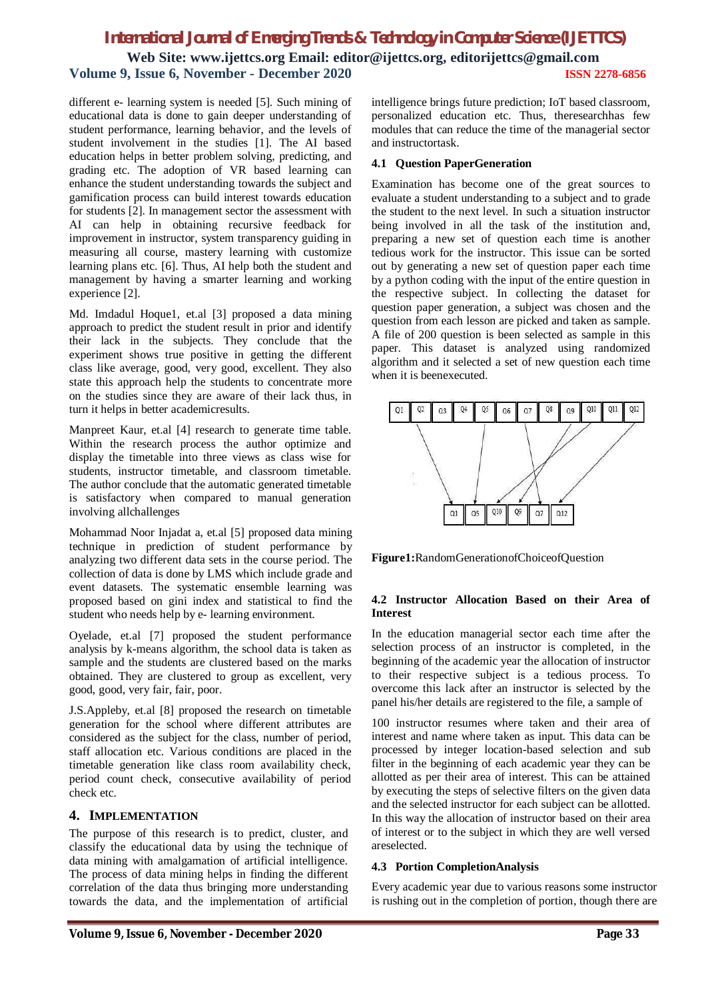different e- learning system is needed [5]. Such mining of educational data is done to gain deeper understanding of student performance, learning behavior, and the levels of student involvement in the studies [1]. The AI based education helps in better problem solving, predicting, and grading etc. The adoption of VR based learning can enhance the student understanding towards the subject and gamification process can build interest towards education for students [2]. In management sector the assessment with AI can help in obtaining recursive feedback for improvement in instructor, system transparency guiding in measuring all course, mastery learning with customize learning plans etc. [6]. Thus, AI help both the student and management by having a smarter learning and working experience [2].

Md. Imdadul Hoque1, et.al [3] proposed a data mining approach to predict the student result in prior and identify their lack in the subjects. They conclude that the experiment shows true positive in getting the different class like average, good, very good, excellent. They also state this approach help the students to concentrate more on the studies since they are aware of their lack thus, in turn it helps in better academicresults.

Manpreet Kaur, et.al [4] research to generate time table. Within the research process the author optimize and display the timetable into three views as class wise for students, instructor timetable, and classroom timetable. The author conclude that the automatic generated timetable is satisfactory when compared to manual generation involving allchallenges

Mohammad Noor Injadat a, et.al [5] proposed data mining technique in prediction of student performance by analyzing two different data sets in the course period. The collection of data is done by LMS which include grade and event datasets. The systematic ensemble learning was proposed based on gini index and statistical to find the student who needs help by e- learning environment.

Oyelade, et.al [7] proposed the student performance analysis by k-means algorithm, the school data is taken as sample and the students are clustered based on the marks obtained. They are clustered to group as excellent, very good, good, very fair, fair, poor.

J.S.Appleby, et.al [8] proposed the research on timetable generation for the school where different attributes are considered as the subject for the class, number of period, staff allocation etc. Various conditions are placed in the timetable generation like class room availability check, period count check, consecutive availability of period check etc.

# **4. IMPLEMENTATION**

The purpose of this research is to predict, cluster, and classify the educational data by using the technique of data mining with amalgamation of artificial intelligence. The process of data mining helps in finding the different correlation of the data thus bringing more understanding towards the data, and the implementation of artificial

intelligence brings future prediction; IoT based classroom, personalized education etc. Thus, theresearchhas few modules that can reduce the time of the managerial sector and instructortask.

# **4.1 Question PaperGeneration**

Examination has become one of the great sources to evaluate a student understanding to a subject and to grade the student to the next level. In such a situation instructor being involved in all the task of the institution and, preparing a new set of question each time is another tedious work for the instructor. This issue can be sorted out by generating a new set of question paper each time by a python coding with the input of the entire question in the respective subject. In collecting the dataset for question paper generation, a subject was chosen and the question from each lesson are picked and taken as sample. A file of 200 question is been selected as sample in this paper. This dataset is analyzed using randomized algorithm and it selected a set of new question each time when it is beenexecuted.



**Figure1:**RandomGenerationofChoiceofQuestion

# **4.2 Instructor Allocation Based on their Area of Interest**

In the education managerial sector each time after the selection process of an instructor is completed, in the beginning of the academic year the allocation of instructor to their respective subject is a tedious process. To overcome this lack after an instructor is selected by the panel his/her details are registered to the file, a sample of

100 instructor resumes where taken and their area of interest and name where taken as input. This data can be processed by integer location-based selection and sub filter in the beginning of each academic year they can be allotted as per their area of interest. This can be attained by executing the steps of selective filters on the given data and the selected instructor for each subject can be allotted. In this way the allocation of instructor based on their area of interest or to the subject in which they are well versed areselected.

# **4.3 Portion CompletionAnalysis**

Every academic year due to various reasons some instructor is rushing out in the completion of portion, though there are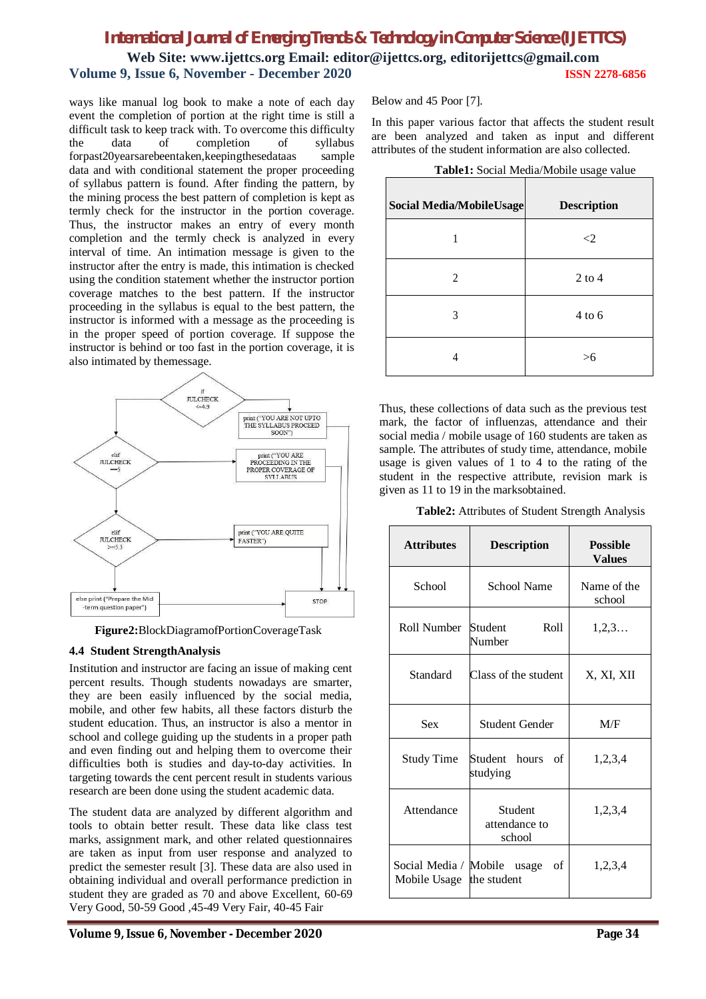ways like manual log book to make a note of each day event the completion of portion at the right time is still a difficult task to keep track with. To overcome this difficulty the data of completion of syllabus forpast20yearsarebeentaken,keepingthesedataas sample data and with conditional statement the proper proceeding of syllabus pattern is found. After finding the pattern, by the mining process the best pattern of completion is kept as termly check for the instructor in the portion coverage. Thus, the instructor makes an entry of every month completion and the termly check is analyzed in every interval of time. An intimation message is given to the instructor after the entry is made, this intimation is checked using the condition statement whether the instructor portion coverage matches to the best pattern. If the instructor proceeding in the syllabus is equal to the best pattern, the instructor is informed with a message as the proceeding is in the proper speed of portion coverage. If suppose the instructor is behind or too fast in the portion coverage, it is also intimated by themessage.



**Figure2:**BlockDiagramofPortionCoverageTask

# **4.4 Student StrengthAnalysis**

Institution and instructor are facing an issue of making cent percent results. Though students nowadays are smarter, they are been easily influenced by the social media, mobile, and other few habits, all these factors disturb the student education. Thus, an instructor is also a mentor in school and college guiding up the students in a proper path and even finding out and helping them to overcome their difficulties both is studies and day-to-day activities. In targeting towards the cent percent result in students various research are been done using the student academic data.

The student data are analyzed by different algorithm and tools to obtain better result. These data like class test marks, assignment mark, and other related questionnaires are taken as input from user response and analyzed to predict the semester result [3]. These data are also used in obtaining individual and overall performance prediction in student they are graded as 70 and above Excellent, 60-69 Very Good, 50-59 Good ,45-49 Very Fair, 40-45 Fair

Below and 45 Poor [7].

In this paper various factor that affects the student result are been analyzed and taken as input and different attributes of the student information are also collected.

**Table1:** Social Media/Mobile usage value

| <b>Social Media/MobileUsage</b> | ັ<br><b>Description</b> |
|---------------------------------|-------------------------|
|                                 | $\leq$ 2                |
| 2                               | $2$ to 4                |
| 3                               | $4$ to 6                |
| 4                               | >6                      |

Thus, these collections of data such as the previous test mark, the factor of influenzas, attendance and their social media / mobile usage of 160 students are taken as sample. The attributes of study time, attendance, mobile usage is given values of 1 to 4 to the rating of the student in the respective attribute, revision mark is given as 11 to 19 in the marksobtained.

**Table2:** Attributes of Student Strength Analysis

| <b>Attributes</b>                                       | <b>Description</b>                 | <b>Possible</b><br><b>Values</b> |  |  |
|---------------------------------------------------------|------------------------------------|----------------------------------|--|--|
| School                                                  | School Name                        | Name of the<br>school            |  |  |
| Roll Number                                             | Student<br>Roll<br>Number          | 1, 2, 3                          |  |  |
| Standard                                                | Class of the student               | X, XI, XII                       |  |  |
| <b>Sex</b>                                              | Student Gender                     | M/F                              |  |  |
| <b>Study Time</b>                                       | Student hours<br>of<br>studying    | 1,2,3,4                          |  |  |
| Attendance                                              | Student<br>attendance to<br>school | 1,2,3,4                          |  |  |
| Social Media / Mobile usage<br>Mobile Usage the student | οf                                 | 1,2,3,4                          |  |  |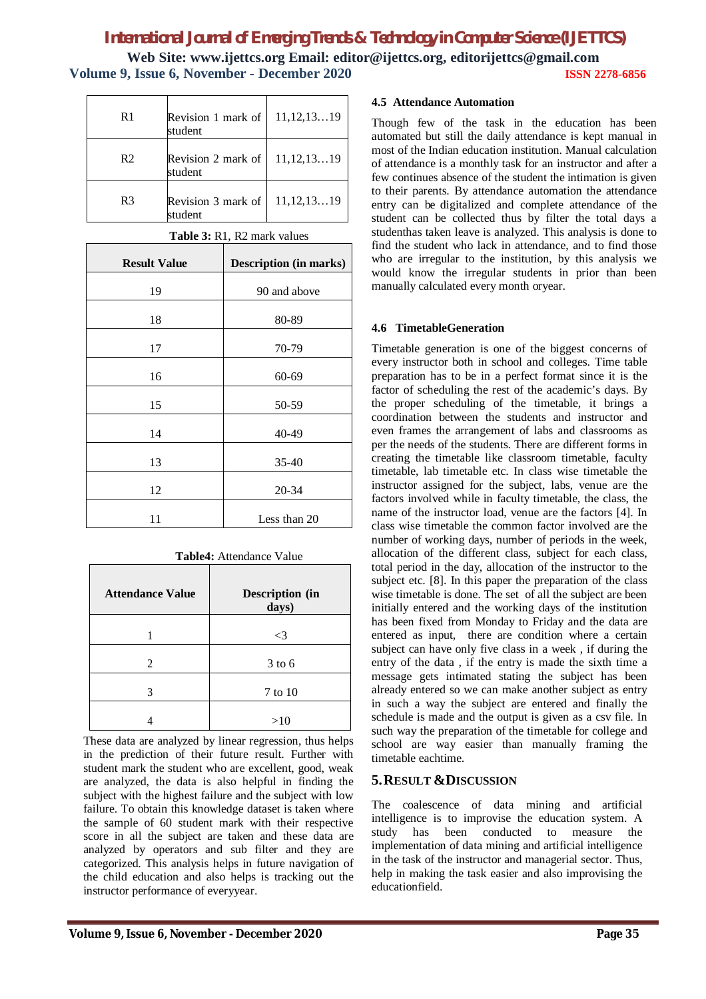| R <sub>1</sub> | Revision 1 mark of<br>student | 11, 12, 1319 |
|----------------|-------------------------------|--------------|
| R <sub>2</sub> | Revision 2 mark of<br>student | 11, 12, 1319 |
| R <sub>3</sub> | Revision 3 mark of<br>student | 11, 12, 1319 |

| <b>Result Value</b> | <b>Description (in marks)</b> |
|---------------------|-------------------------------|
| 19                  | 90 and above                  |
| 18                  | 80-89                         |
| 17                  | 70-79                         |
| 16                  | 60-69                         |
| 15                  | 50-59                         |
|                     |                               |
| 14                  | 40-49                         |
| 13                  | 35-40                         |
| 12                  | 20-34                         |
| 11                  | Less than 20                  |

**Table 3:** R1, R2 mark values

|  | <b>Table4:</b> Attendance Value |  |
|--|---------------------------------|--|
|--|---------------------------------|--|

| <b>Attendance Value</b> | Description (in<br>days) |
|-------------------------|--------------------------|
|                         | $<$ 3                    |
| 2                       | $3$ to 6                 |
| 3                       | 7 to 10                  |
|                         | >10                      |

These data are analyzed by linear regression, thus helps in the prediction of their future result. Further with student mark the student who are excellent, good, weak are analyzed, the data is also helpful in finding the subject with the highest failure and the subject with low failure. To obtain this knowledge dataset is taken where the sample of 60 student mark with their respective score in all the subject are taken and these data are analyzed by operators and sub filter and they are categorized. This analysis helps in future navigation of the child education and also helps is tracking out the instructor performance of everyyear.

### **4.5 Attendance Automation**

Though few of the task in the education has been automated but still the daily attendance is kept manual in most of the Indian education institution. Manual calculation of attendance is a monthly task for an instructor and after a few continues absence of the student the intimation is given to their parents. By attendance automation the attendance entry can be digitalized and complete attendance of the student can be collected thus by filter the total days a studenthas taken leave is analyzed. This analysis is done to find the student who lack in attendance, and to find those who are irregular to the institution, by this analysis we would know the irregular students in prior than been manually calculated every month oryear.

# **4.6 TimetableGeneration**

Timetable generation is one of the biggest concerns of every instructor both in school and colleges. Time table preparation has to be in a perfect format since it is the factor of scheduling the rest of the academic's days. By the proper scheduling of the timetable, it brings a coordination between the students and instructor and even frames the arrangement of labs and classrooms as per the needs of the students. There are different forms in creating the timetable like classroom timetable, faculty timetable, lab timetable etc. In class wise timetable the instructor assigned for the subject, labs, venue are the factors involved while in faculty timetable, the class, the name of the instructor load, venue are the factors [4]. In class wise timetable the common factor involved are the number of working days, number of periods in the week, allocation of the different class, subject for each class, total period in the day, allocation of the instructor to the subject etc. [8]. In this paper the preparation of the class wise timetable is done. The set of all the subject are been initially entered and the working days of the institution has been fixed from Monday to Friday and the data are entered as input, there are condition where a certain subject can have only five class in a week , if during the entry of the data , if the entry is made the sixth time a message gets intimated stating the subject has been already entered so we can make another subject as entry in such a way the subject are entered and finally the schedule is made and the output is given as a csv file. In such way the preparation of the timetable for college and school are way easier than manually framing the timetable eachtime.

# **5.RESULT &DISCUSSION**

The coalescence of data mining and artificial intelligence is to improvise the education system. A study has been conducted to measure the implementation of data mining and artificial intelligence in the task of the instructor and managerial sector. Thus, help in making the task easier and also improvising the educationfield.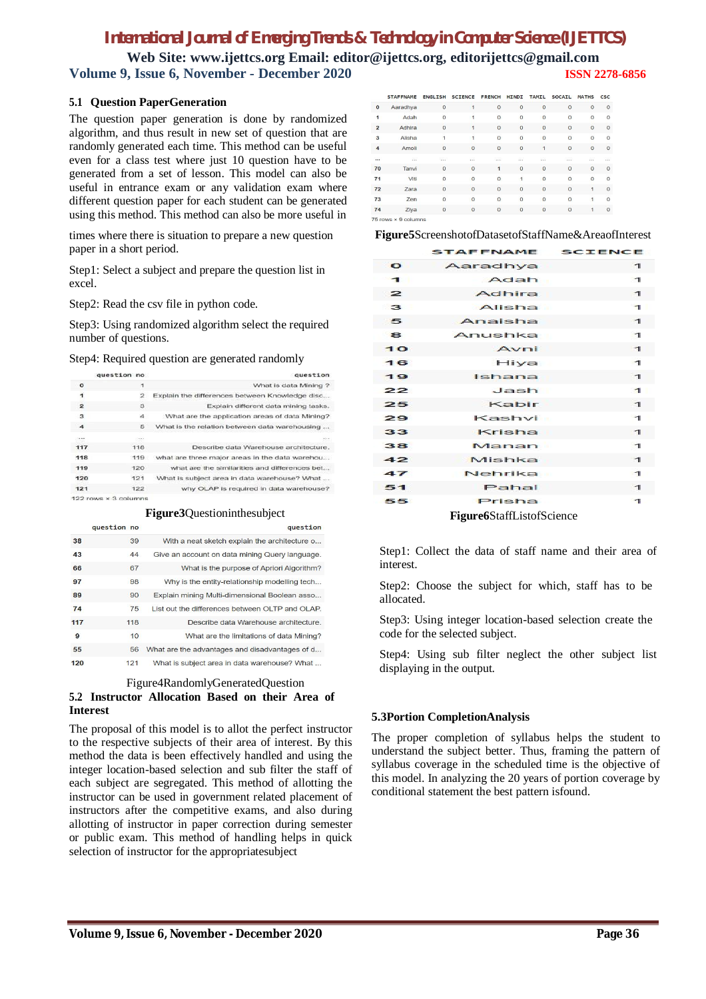# **5.1 Question PaperGeneration**

The question paper generation is done by randomized algorithm, and thus result in new set of question that are randomly generated each time. This method can be useful even for a class test where just 10 question have to be generated from a set of lesson. This model can also be useful in entrance exam or any validation exam where different question paper for each student can be generated using this method. This method can also be more useful in

times where there is situation to prepare a new question paper in a short period.

Step1: Select a subject and prepare the question list in excel.

Step2: Read the csv file in python code.

Step3: Using randomized algorithm select the required number of questions.

#### Step4: Required question are generated randomly

|                | question no          | question                                       |
|----------------|----------------------|------------------------------------------------|
| $\Omega$       | 1                    | What is data Mining ?                          |
| ï              | 2                    | Explain the differences between Knowledge disc |
| $\overline{2}$ | 3                    | Explain different data mining tasks.           |
| 3              | $\mathbf{4}$         | What are the application areas of data Mining? |
| 4              | 5                    | What is the relation between data warehousing  |
|                | <b>STAR</b>          | sin e.                                         |
| 117            | 118                  | Describe data Warehouse architecture.          |
| 118            | 119                  | what are three major areas in the data warehou |
| 119            | 120                  | what are the similarities and differences bet  |
| 120            | 121                  | What is subject area in data warehouse? What   |
| 121            | 122                  | why OLAP is required in data warehouse?        |
|                | 122 rows × 3 columns |                                                |

#### **Figure3**Questioninthesubject

|     | question no |     | question                                        |
|-----|-------------|-----|-------------------------------------------------|
| 38  |             | 39  | With a neat sketch explain the architecture o   |
| 43  |             | 44  | Give an account on data mining Query language.  |
| 66  |             | 67  | What is the purpose of Apriori Algorithm?       |
| 97  |             | 98  | Why is the entity-relationship modelling tech   |
| 89  |             | 90  | Explain mining Multi-dimensional Boolean asso   |
| 74  |             | 75  | List out the differences between OLTP and OLAP. |
| 117 |             | 118 | Describe data Warehouse architecture.           |
| 9   |             | 10  | What are the limitations of data Mining?        |
| 55  |             | 56  | What are the advantages and disadvantages of d  |
| 120 |             | 121 | What is subject area in data warehouse? What    |

#### Figure4RandomlyGeneratedQuestion

# **5.2 Instructor Allocation Based on their Area of Interest**

The proposal of this model is to allot the perfect instructor to the respective subjects of their area of interest. By this method the data is been effectively handled and using the integer location-based selection and sub filter the staff of each subject are segregated. This method of allotting the instructor can be used in government related placement of instructors after the competitive exams, and also during allotting of instructor in paper correction during semester or public exam. This method of handling helps in quick selection of instructor for the appropriatesubject

|                          | <b>STAFFNAME</b>             | <b>ENGLISH</b> | <b>SCIENCE</b> | <b>FRENCH</b>  | <b>HINDI</b>   | <b>TAMIL</b>   | <b>SOCAIL</b>  | <b>MATHS</b>   | <b>CSC</b> |
|--------------------------|------------------------------|----------------|----------------|----------------|----------------|----------------|----------------|----------------|------------|
| $\mathbf{0}$             | Aaradhya                     | $\circ$        | 1              | $\circ$        | $\Omega$       | $\overline{0}$ | $\Omega$       | $\circ$        | $\circ$    |
| Adah<br>1                |                              | $\circ$        | 1              | $\Omega$       | $\circ$        | $\Omega$       | $\Omega$       | $\circ$        | $\circ$    |
| $\overline{2}$<br>Adhira |                              | $\circ$        | 1              | $\overline{O}$ | $\overline{0}$ | $\overline{O}$ | $\Omega$       | $\overline{0}$ | $\circ$    |
| 3<br>Alisha              |                              | $\mathbf{1}$   | 1              | $\Omega$       | $\circ$        | $\overline{O}$ | $\Omega$       | $\circ$        | $\circ$    |
| 4<br>Amoli               |                              | $\circ$        | $\overline{0}$ | $\overline{O}$ | $\overline{0}$ | 1              | $\overline{0}$ | $\overline{0}$ | $\circ$    |
| <br>                     |                              | $\ldots$       | ä.             | .              | $\sim$         | Ω.             | .              | a.             | .          |
| 70<br>Tanvi              |                              | $\circ$        | $\overline{0}$ | 1              | $\overline{O}$ | $\overline{0}$ | $\overline{0}$ | $\overline{O}$ | $\circ$    |
| 71                       | Viti                         | $\circ$        | $\overline{0}$ | $\Omega$       | $\mathbf{1}$   | $\Omega$       | $\Omega$       | $\circ$        | $\circ$    |
| 72                       | Zara                         | $\circ$        | $\overline{O}$ | $\circ$        | $\overline{O}$ | $\overline{O}$ | $\overline{O}$ | 1              | $\Omega$   |
| 73                       | Zen                          | $\circ$        | $\overline{0}$ | $\Omega$       | $\circ$        | $\overline{O}$ | $\circ$        | 1              | $\Omega$   |
| 74<br>Ziya               |                              | $\mathbf{0}$   | $\circ$        | $\circ$        | $\circ$        | $\mathbf{O}$   | $\mathbf{O}$   | 1              | $\circ$    |
|                          | $75$ rows $\times$ 9 columns |                |                |                |                |                |                |                |            |

**Figure5**ScreenshotofDatasetofStaffName&AreaofInterest

|                | STAFFNAME SCIENCE                |              |
|----------------|----------------------------------|--------------|
| $\bullet$      | Aaradhya                         | ┓            |
| $\mathbf{1}$   | Adah                             | $\mathbf{1}$ |
| $\geq$         | Adhira                           | $\mathbf{1}$ |
| $\mathbf{3}$   | Alisha                           | $\mathbf{I}$ |
| 5              | Anaisha                          | $\mathbf{1}$ |
| $\mathbf{a}$   | Anushka                          | $\mathbf{I}$ |
| 1 <sup>o</sup> | Avni                             | $\mathbf{I}$ |
| 16             | Hiya                             | $\mathbf{I}$ |
| 19             | Ishana                           | $\mathbf{I}$ |
| 22             | Jash                             | $\mathbf{I}$ |
| 25             | Kabir                            | $\mathbf{I}$ |
| 29             | Kashvi                           | $\mathbf{I}$ |
| 33             | Krisha                           | $\mathbf{1}$ |
| 38             | Manan                            | $\mathbf{I}$ |
| 42             | Mishka                           | $\mathbf{I}$ |
| 47             | Nehrika                          | $\mathbf{1}$ |
| 51             | Pahal                            | $\mathbf{I}$ |
| 55             | Prisha                           | $\mathbf{I}$ |
|                | <b>Figure6StaffListofScience</b> |              |

Step1: Collect the data of staff name and their area of interest.

Step2: Choose the subject for which, staff has to be allocated.

Step3: Using integer location-based selection create the code for the selected subject.

Step4: Using sub filter neglect the other subject list displaying in the output.

# **5.3Portion CompletionAnalysis**

The proper completion of syllabus helps the student to understand the subject better. Thus, framing the pattern of syllabus coverage in the scheduled time is the objective of this model. In analyzing the 20 years of portion coverage by conditional statement the best pattern isfound.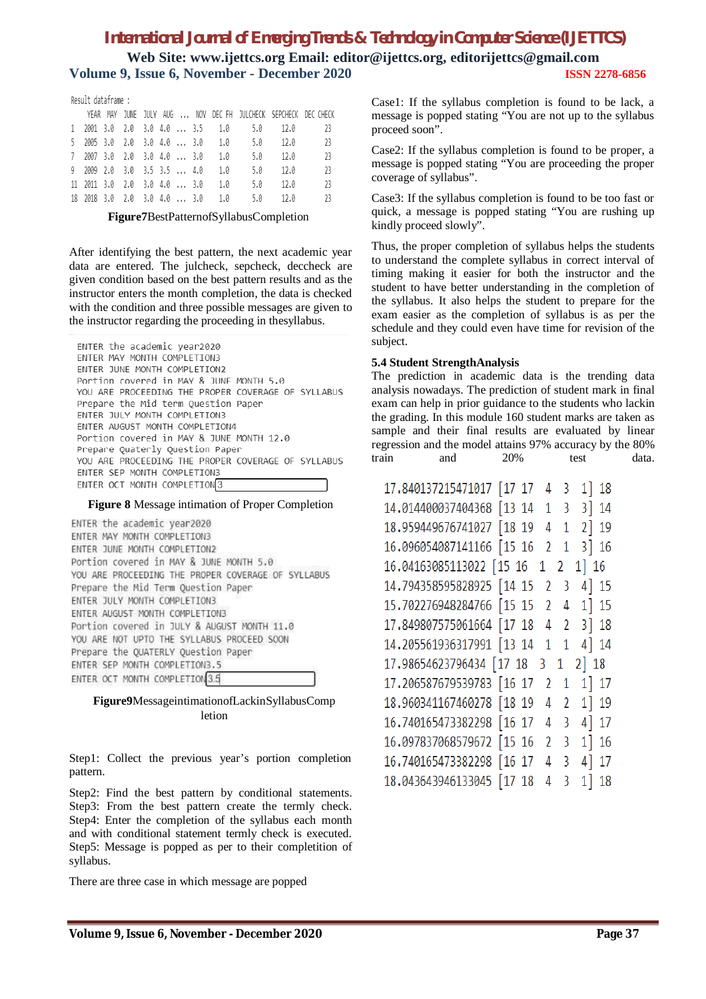# *International Journal of Emerging Trends & Technology in Computer Science (IJETTCS)*

**Web Site: www.ijettcs.org Email: editor@ijettcs.org, editorijettcs@gmail.com Volume 9, Issue 6, November - December 2020 ISSN 2278-6856**

Result dataframe :

|  |  |  |  |  |  | YEAR MAY JUNE JULY AUG  NOV DEC FH JULCHECK SEPCHECK DEC CHECK |
|--|--|--|--|--|--|----------------------------------------------------------------|
|  |  |  |  |  |  | 1 2001 3.0 2.0 3.0 4.0  3.5 1.0 5.0 12.0 23                    |
|  |  |  |  |  |  | 5 2005 3.0 2.0 3.0 4.0  3.0 1.0 5.0 12.0 23                    |
|  |  |  |  |  |  | 7 2007 3.0 2.0 3.0 4.0  3.0 1.0 5.0 12.0 23                    |
|  |  |  |  |  |  | 9 2009 2.0 3.0 3.5 3.5  4.0 1.0 5.0 12.0 23                    |
|  |  |  |  |  |  | $11$ 2011 3.0 2.0 3.0 4.0  3.0 1.0 5.0 12.0 23                 |
|  |  |  |  |  |  | 18 2018 3.0 2.0 3.0 4.0  3.0 1.0 5.0 12.0 23                   |

**Figure7**BestPatternofSyllabusCompletion

After identifying the best pattern, the next academic year data are entered. The julcheck, sepcheck, deccheck are given condition based on the best pattern results and as the instructor enters the month completion, the data is checked with the condition and three possible messages are given to the instructor regarding the proceeding in thesyllabus.

ENTER the academic year2020 ENTER MAY MONTH COMPLETION3 ENTER JUNE MONTH COMPLETION2 Portion covered in MAY & JUNE MONTH 5.0 YOU ARE PROCEEDING THE PROPER COVERAGE OF SYLLABUS Prepare the Mid term Ouestion Paper ENTER JULY MONTH COMPLETION3 ENTER AUGUST MONTH COMPLETION4 Portion covered in MAY & JUNE MONTH 12.0 Prepare Quaterly Question Paper YOU ARE PROCEEDING THE PROPER COVERAGE OF SYLLABUS ENTER SEP MONTH COMPLETION3 ENTER OCT MONTH COMPLETION3

# **Figure 8** Message intimation of Proper Completion

ENTER the academic year2020 ENTER MAY MONTH COMPLETION3 ENTER JUNE MONTH COMPLETION2 Portion covered in MAY & JUNE MONTH 5.0 YOU ARE PROCEEDING THE PROPER COVERAGE OF SYLLABUS Prepare the Mid Term Question Paper ENTER JULY MONTH COMPLETION3 ENTER AUGUST MONTH COMPLETION3 Portion covered in JULY & AUGUST MONTH 11.0 YOU ARE NOT UPTO THE SYLLABUS PROCEED SOON Prepare the QUATERLY Question Paper ENTER SEP MONTH COMPLETION3.5 ENTER OCT MONTH COMPLETION 3.5

# **Figure9**MessageintimationofLackinSyllabusComp letion

Step1: Collect the previous year's portion completion pattern.

Step2: Find the best pattern by conditional statements. Step3: From the best pattern create the termly check. Step4: Enter the completion of the syllabus each month and with conditional statement termly check is executed. Step5: Message is popped as per to their completition of syllabus.

There are three case in which message are popped

Case1: If the syllabus completion is found to be lack, a message is popped stating "You are not up to the syllabus proceed soon".

Case2: If the syllabus completion is found to be proper, a message is popped stating "You are proceeding the proper coverage of syllabus".

Case3: If the syllabus completion is found to be too fast or quick, a message is popped stating "You are rushing up kindly proceed slowly".

Thus, the proper completion of syllabus helps the students to understand the complete syllabus in correct interval of timing making it easier for both the instructor and the student to have better understanding in the completion of the syllabus. It also helps the student to prepare for the exam easier as the completion of syllabus is as per the schedule and they could even have time for revision of the subject.

# **5.4 Student StrengthAnalysis**

The prediction in academic data is the trending data analysis nowadays. The prediction of student mark in final exam can help in prior guidance to the students who lackin the grading. In this module 160 student marks are taken as sample and their final results are evaluated by linear regression and the model attains 97% accuracy by the 80% train and 20% test data.

| 17.840137215471017 [17 17<br>1 18<br>43                 |  |
|---------------------------------------------------------|--|
| 14.014400037404368 [13 14<br>3 14<br>13                 |  |
| 18.959449676741027 [18 19<br>$2$ ] 19<br>41             |  |
| 16.096054087141166 [15 16<br>3 16<br>21                 |  |
| 16.04163085113022 [15 16<br>1 16<br>$1\quad2$           |  |
| 14.794358595828925 [14 15<br>4 15<br>23                 |  |
| 15.702276948284766 [15 15<br>$1$ ] 15<br>24             |  |
| 17.849807575061664 [17 18<br>4 2<br>$3$ 18              |  |
| 14.205561936317991 [13 14<br>4 14<br>$1\quad1$          |  |
| 17.98654623796434 [17 18<br>2 18<br>31                  |  |
| 17.206587679539783 [16 17<br>1] 17<br>2 <sub>1</sub>    |  |
| 18.960341167460278 [18 19<br>1] 19<br>4 2               |  |
| 16.740165473382298 [16 17<br>4 17<br>-3<br>4            |  |
| 16.097837068579672 [15 16<br>1116<br>-3<br>$\mathbf{2}$ |  |
| 16.740165473382298 [16 17<br>4 17<br>43                 |  |
| 18.043643946133045 [17 18<br>$1$ ] $18$<br>43           |  |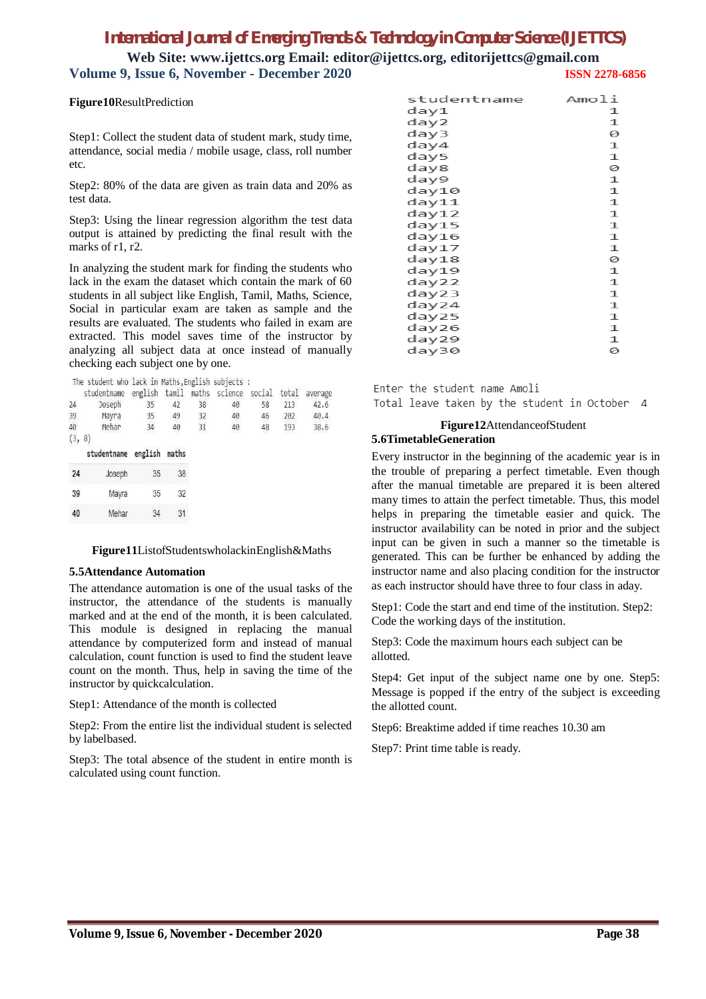# *International Journal of Emerging Trends & Technology in Computer Science (IJETTCS)*

**Web Site: www.ijettcs.org Email: editor@ijettcs.org, editorijettcs@gmail.com Volume 9, Issue 6, November - December 2020 ISSN 2278-6856**

#### **Figure10**ResultPrediction

Step1: Collect the student data of student mark, study time, attendance, social media / mobile usage, class, roll number etc.

Step2: 80% of the data are given as train data and 20% as test data.

Step3: Using the linear regression algorithm the test data output is attained by predicting the final result with the marks of r1, r2.

In analyzing the student mark for finding the students who lack in the exam the dataset which contain the mark of 60 students in all subject like English, Tamil, Maths, Science, Social in particular exam are taken as sample and the results are evaluated. The students who failed in exam are extracted. This model saves time of the instructor by analyzing all subject data at once instead of manually checking each subject one by one.

|     | The student who lack in Maths, English subjects: |         |       |    |               |        |       |         |
|-----|--------------------------------------------------|---------|-------|----|---------------|--------|-------|---------|
|     | studentname                                      | english | tamil |    | maths science | social | total | average |
| 24  | Joseph                                           | 35      | 42    | 38 | 40            | 58     | 213   | 42.6    |
| 39  | Mayra                                            | 35      | 49    | 32 | 40            | 46     | 202   | 40.4    |
| 40  | Mehar                                            | 34      | 40    | 31 | 40            | 48     | 193   | 38.6    |
| (3, | 8)                                               |         |       |    |               |        |       |         |
|     | studentname                                      | english | maths |    |               |        |       |         |
| 24  | Joseph                                           | 35      | 38    |    |               |        |       |         |
| 39  | Mayra                                            | 35      | 32    |    |               |        |       |         |
| 40  | Mehar                                            | 34      | 31    |    |               |        |       |         |

# **Figure11**ListofStudentswholackinEnglish&Maths

#### **5.5Attendance Automation**

The attendance automation is one of the usual tasks of the instructor, the attendance of the students is manually marked and at the end of the month, it is been calculated. This module is designed in replacing the manual attendance by computerized form and instead of manual calculation, count function is used to find the student leave count on the month. Thus, help in saving the time of the instructor by quickcalculation.

Step1: Attendance of the month is collected

Step2: From the entire list the individual student is selected by labelbased.

Step3: The total absence of the student in entire month is calculated using count function.

| studentname | Amoli       |
|-------------|-------------|
| day1        | 1           |
| day2        | 1           |
| day3        | 0           |
| day4        | 1           |
| day5        | 1           |
| day8        | 0           |
| day9        | $\mathbf 1$ |
| day10       | 1           |
| day11       | 1           |
| day12       | 1           |
| day15       | 1           |
| day16       | 1           |
| day17       | $\mathbf 1$ |
| day18       | 0           |
| day19       | 1           |
| day22       | 1           |
| day23       | 1           |
| day24       | 1           |
| day25       | 1           |
| day26       | 1           |
| day29       | 1           |
| day30       | 0           |

Enter the student name Amoli Total leave taken by the student in October 4

### **Figure12**AttendanceofStudent **5.6TimetableGeneration**

Every instructor in the beginning of the academic year is in the trouble of preparing a perfect timetable. Even though after the manual timetable are prepared it is been altered many times to attain the perfect timetable. Thus, this model helps in preparing the timetable easier and quick. The instructor availability can be noted in prior and the subject input can be given in such a manner so the timetable is generated. This can be further be enhanced by adding the instructor name and also placing condition for the instructor as each instructor should have three to four class in aday.

Step1: Code the start and end time of the institution. Step2: Code the working days of the institution.

Step3: Code the maximum hours each subject can be allotted.

Step4: Get input of the subject name one by one. Step5: Message is popped if the entry of the subject is exceeding the allotted count.

Step6: Breaktime added if time reaches 10.30 am

Step7: Print time table is ready.